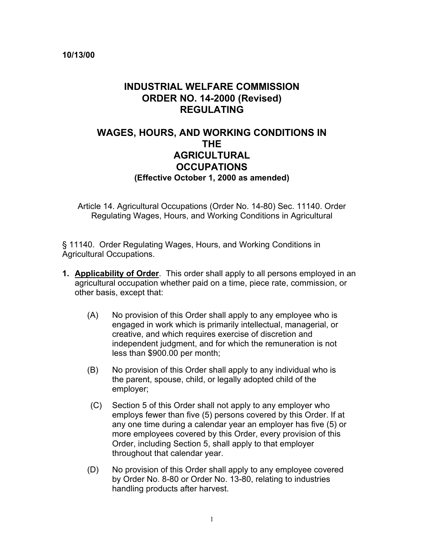#### **10/13/00**

# **INDUSTRIAL WELFARE COMMISSION ORDER NO. 14-2000 (Revised) REGULATING**

# **WAGES, HOURS, AND WORKING CONDITIONS IN THE AGRICULTURAL OCCUPATIONS (Effective October 1, 2000 as amended)**

Article 14. Agricultural Occupations (Order No. 14-80) Sec. 11140. Order Regulating Wages, Hours, and Working Conditions in Agricultural

§ 11140. Order Regulating Wages, Hours, and Working Conditions in Agricultural Occupations.

- **1. Applicability of Order**. This order shall apply to all persons employed in an agricultural occupation whether paid on a time, piece rate, commission, or other basis, except that:
	- (A) No provision of this Order shall apply to any employee who is engaged in work which is primarily intellectual, managerial, or creative, and which requires exercise of discretion and independent judgment, and for which the remuneration is not less than \$900.00 per month;
	- (B) No provision of this Order shall apply to any individual who is the parent, spouse, child, or legally adopted child of the employer;
	- (C) Section 5 of this Order shall not apply to any employer who employs fewer than five (5) persons covered by this Order. If at any one time during a calendar year an employer has five (5) or more employees covered by this Order, every provision of this Order, including Section 5, shall apply to that employer throughout that calendar year.
	- (D) No provision of this Order shall apply to any employee covered by Order No. 8-80 or Order No. 13-80, relating to industries handling products after harvest.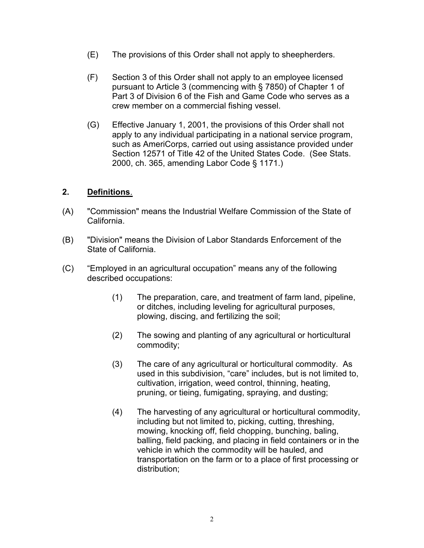- (E) The provisions of this Order shall not apply to sheepherders.
- (F) Section 3 of this Order shall not apply to an employee licensed pursuant to Article 3 (commencing with § 7850) of Chapter 1 of Part 3 of Division 6 of the Fish and Game Code who serves as a crew member on a commercial fishing vessel.
- (G) Effective January 1, 2001, the provisions of this Order shall not apply to any individual participating in a national service program, such as AmeriCorps, carried out using assistance provided under Section 12571 of Title 42 of the United States Code. (See Stats. 2000, ch. 365, amending Labor Code § 1171.)

### **2. Definitions**.

- (A) "Commission" means the Industrial Welfare Commission of the State of California.
- (B) "Division" means the Division of Labor Standards Enforcement of the State of California.
- (C) "Employed in an agricultural occupation" means any of the following described occupations:
	- (1) The preparation, care, and treatment of farm land, pipeline, or ditches, including leveling for agricultural purposes, plowing, discing, and fertilizing the soil;
	- (2) The sowing and planting of any agricultural or horticultural commodity;
	- (3) The care of any agricultural or horticultural commodity. As used in this subdivision, "care" includes, but is not limited to, cultivation, irrigation, weed control, thinning, heating, pruning, or tieing, fumigating, spraying, and dusting;
	- (4) The harvesting of any agricultural or horticultural commodity, including but not limited to, picking, cutting, threshing, mowing, knocking off, field chopping, bunching, baling, balling, field packing, and placing in field containers or in the vehicle in which the commodity will be hauled, and transportation on the farm or to a place of first processing or distribution;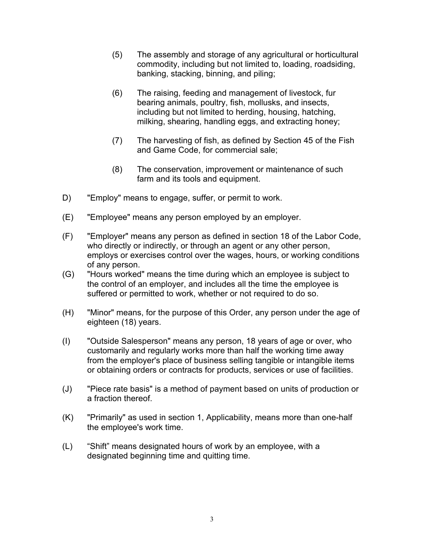- (5) The assembly and storage of any agricultural or horticultural commodity, including but not limited to, loading, roadsiding, banking, stacking, binning, and piling;
- (6) The raising, feeding and management of livestock, fur bearing animals, poultry, fish, mollusks, and insects, including but not limited to herding, housing, hatching, milking, shearing, handling eggs, and extracting honey;
- (7) The harvesting of fish, as defined by Section 45 of the Fish and Game Code, for commercial sale;
- (8) The conservation, improvement or maintenance of such farm and its tools and equipment.
- D) "Employ" means to engage, suffer, or permit to work.
- (E) "Employee" means any person employed by an employer.
- (F) "Employer" means any person as defined in section 18 of the Labor Code, who directly or indirectly, or through an agent or any other person, employs or exercises control over the wages, hours, or working conditions of any person.
- (G) "Hours worked" means the time during which an employee is subject to the control of an employer, and includes all the time the employee is suffered or permitted to work, whether or not required to do so.
- (H) "Minor" means, for the purpose of this Order, any person under the age of eighteen (18) years.
- (I) "Outside Salesperson" means any person, 18 years of age or over, who customarily and regularly works more than half the working time away from the employer's place of business selling tangible or intangible items or obtaining orders or contracts for products, services or use of facilities.
- (J) "Piece rate basis" is a method of payment based on units of production or a fraction thereof.
- (K) "Primarily" as used in section 1, Applicability, means more than one-half the employee's work time.
- (L) "Shift" means designated hours of work by an employee, with a designated beginning time and quitting time.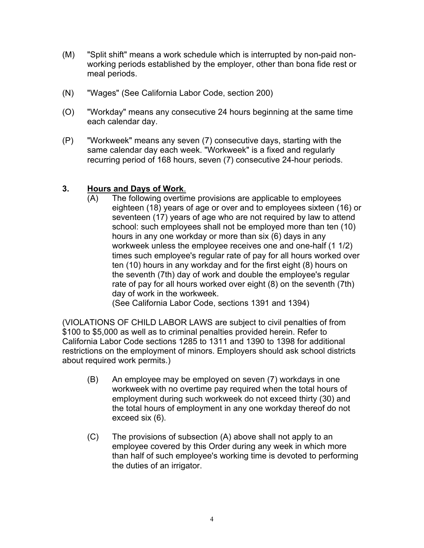- (M) "Split shift" means a work schedule which is interrupted by non-paid nonworking periods established by the employer, other than bona fide rest or meal periods.
- $(N)$ "Wages" (See California Labor Code, section 200)
- (O) "Workday" means any consecutive 24 hours beginning at the same time each calendar day.
- (P) "Workweek" means any seven (7) consecutive days, starting with the same calendar day each week. "Workweek" is a fixed and regularly recurring period of 168 hours, seven (7) consecutive 24-hour periods.

### **3. Hours and Days of Work**.

(A) The following overtime provisions are applicable to employees eighteen (18) years of age or over and to employees sixteen (16) or seventeen (17) years of age who are not required by law to attend school: such employees shall not be employed more than ten (10) hours in any one workday or more than six (6) days in any workweek unless the employee receives one and one-half (1 1/2) times such employee's regular rate of pay for all hours worked over ten (10) hours in any workday and for the first eight (8) hours on the seventh (7th) day of work and double the employee's regular rate of pay for all hours worked over eight (8) on the seventh (7th) day of work in the workweek.

(See California Labor Code, sections 1391 and 1394)

(VIOLATIONS OF CHILD LABOR LAWS are subject to civil penalties of from \$100 to \$5,000 as well as to criminal penalties provided herein. Refer to California Labor Code sections 1285 to 1311 and 1390 to 1398 for additional restrictions on the employment of minors. Employers should ask school districts about required work permits.)

- (B) An employee may be employed on seven (7) workdays in one workweek with no overtime pay required when the total hours of employment during such workweek do not exceed thirty (30) and the total hours of employment in any one workday thereof do not exceed six (6).
- (C) The provisions of subsection (A) above shall not apply to an employee covered by this Order during any week in which more than half of such employee's working time is devoted to performing the duties of an irrigator.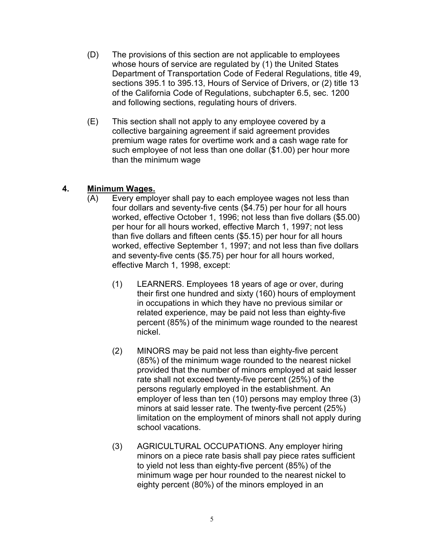- (D) The provisions of this section are not applicable to employees whose hours of service are regulated by (1) the United States Department of Transportation Code of Federal Regulations, title 49, sections 395.1 to 395.13, Hours of Service of Drivers, or (2) title 13 of the California Code of Regulations, subchapter 6.5, sec. 1200 and following sections, regulating hours of drivers.
- (E) This section shall not apply to any employee covered by a collective bargaining agreement if said agreement provides premium wage rates for overtime work and a cash wage rate for such employee of not less than one dollar (\$1.00) per hour more than the minimum wage

### **4. Minimum Wages.**

- (A) Every employer shall pay to each employee wages not less than four dollars and seventy-five cents (\$4.75) per hour for all hours worked, effective October 1, 1996; not less than five dollars (\$5.00) per hour for all hours worked, effective March 1, 1997; not less than five dollars and fifteen cents (\$5.15) per hour for all hours worked, effective September 1, 1997; and not less than five dollars and seventy-five cents (\$5.75) per hour for all hours worked, effective March 1, 1998, except:
	- (1) LEARNERS. Employees 18 years of age or over, during their first one hundred and sixty (160) hours of employment in occupations in which they have no previous similar or related experience, may be paid not less than eighty-five percent (85%) of the minimum wage rounded to the nearest nickel.
	- (2) MINORS may be paid not less than eighty-five percent (85%) of the minimum wage rounded to the nearest nickel provided that the number of minors employed at said lesser rate shall not exceed twenty-five percent (25%) of the persons regularly employed in the establishment. An employer of less than ten (10) persons may employ three (3) minors at said lesser rate. The twenty-five percent (25%) limitation on the employment of minors shall not apply during school vacations.
	- (3) AGRICULTURAL OCCUPATIONS. Any employer hiring minors on a piece rate basis shall pay piece rates sufficient to yield not less than eighty-five percent (85%) of the minimum wage per hour rounded to the nearest nickel to eighty percent (80%) of the minors employed in an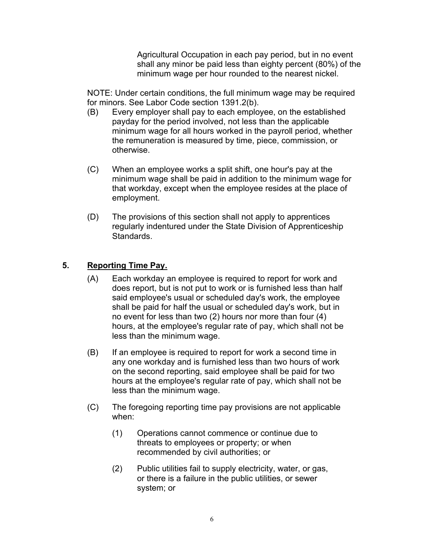Agricultural Occupation in each pay period, but in no event shall any minor be paid less than eighty percent (80%) of the minimum wage per hour rounded to the nearest nickel.

NOTE: Under certain conditions, the full minimum wage may be required for minors. See Labor Code section 1391.2(b).

- (B) Every employer shall pay to each employee, on the established payday for the period involved, not less than the applicable minimum wage for all hours worked in the payroll period, whether the remuneration is measured by time, piece, commission, or otherwise.
- (C) When an employee works a split shift, one hour's pay at the minimum wage shall be paid in addition to the minimum wage for that workday, except when the employee resides at the place of employment.
- (D) The provisions of this section shall not apply to apprentices regularly indentured under the State Division of Apprenticeship **Standards**

## **5. Reporting Time Pay.**

- (A) Each workday an employee is required to report for work and does report, but is not put to work or is furnished less than half said employee's usual or scheduled day's work, the employee shall be paid for half the usual or scheduled day's work, but in no event for less than two (2) hours nor more than four (4) hours, at the employee's regular rate of pay, which shall not be less than the minimum wage.
- (B) If an employee is required to report for work a second time in any one workday and is furnished less than two hours of work on the second reporting, said employee shall be paid for two hours at the employee's regular rate of pay, which shall not be less than the minimum wage.
- (C) The foregoing reporting time pay provisions are not applicable when:
	- (1) Operations cannot commence or continue due to threats to employees or property; or when recommended by civil authorities; or
	- (2) Public utilities fail to supply electricity, water, or gas, or there is a failure in the public utilities, or sewer system; or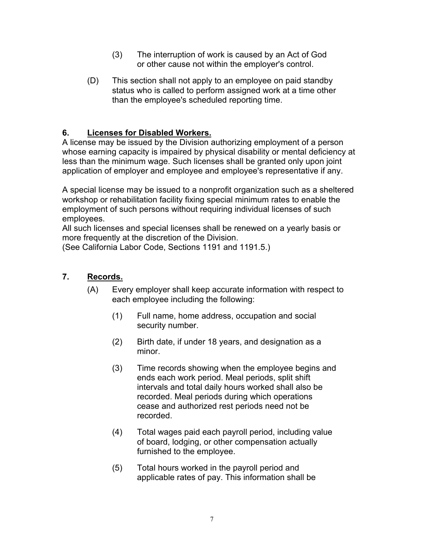- (3) The interruption of work is caused by an Act of God or other cause not within the employer's control.
- (D) This section shall not apply to an employee on paid standby status who is called to perform assigned work at a time other than the employee's scheduled reporting time.

# **6. Licenses for Disabled Workers.**

A license may be issued by the Division authorizing employment of a person whose earning capacity is impaired by physical disability or mental deficiency at less than the minimum wage. Such licenses shall be granted only upon joint application of employer and employee and employee's representative if any.

A special license may be issued to a nonprofit organization such as a sheltered workshop or rehabilitation facility fixing special minimum rates to enable the employment of such persons without requiring individual licenses of such employees.

All such licenses and special licenses shall be renewed on a yearly basis or more frequently at the discretion of the Division.

(See California Labor Code, Sections 1191 and 1191.5.)

# **7. Records.**

- (A) Every employer shall keep accurate information with respect to each employee including the following:
	- (1) Full name, home address, occupation and social security number.
	- (2) Birth date, if under 18 years, and designation as a minor.
	- (3) Time records showing when the employee begins and ends each work period. Meal periods, split shift intervals and total daily hours worked shall also be recorded. Meal periods during which operations cease and authorized rest periods need not be recorded.
	- (4) Total wages paid each payroll period, including value of board, lodging, or other compensation actually furnished to the employee.
	- (5) Total hours worked in the payroll period and applicable rates of pay. This information shall be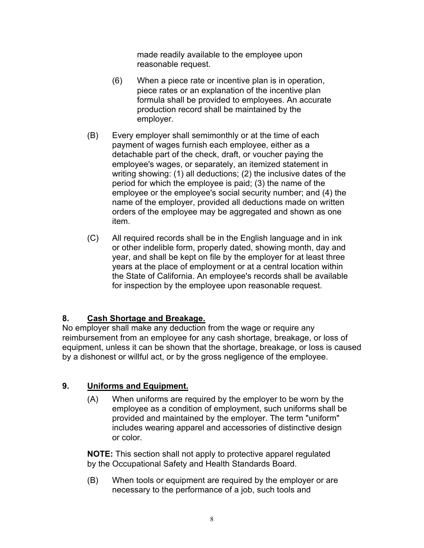made readily available to the employee upon reasonable request.

- (6) When a piece rate or incentive plan is in operation, piece rates or an explanation of the incentive plan formula shall be provided to employees. An accurate production record shall be maintained by the employer.
- (B) Every employer shall semimonthly or at the time of each payment of wages furnish each employee, either as a detachable part of the check, draft, or voucher paying the employee's wages, or separately, an itemized statement in writing showing: (1) all deductions; (2) the inclusive dates of the period for which the employee is paid; (3) the name of the employee or the employee's social security number; and (4) the name of the employer, provided all deductions made on written orders of the employee may be aggregated and shown as one item.
- (C) All required records shall be in the English language and in ink or other indelible form, properly dated, showing month, day and year, and shall be kept on file by the employer for at least three years at the place of employment or at a central location within the State of California. An employee's records shall be available for inspection by the employee upon reasonable request.

### **8. Cash Shortage and Breakage.**

No employer shall make any deduction from the wage or require any reimbursement from an employee for any cash shortage, breakage, or loss of equipment, unless it can be shown that the shortage, breakage, or loss is caused by a dishonest or willful act, or by the gross negligence of the employee.

### **9. Uniforms and Equipment.**

(A) When uniforms are required by the employer to be worn by the employee as a condition of employment, such uniforms shall be provided and maintained by the employer. The term "uniform" includes wearing apparel and accessories of distinctive design or color.

**NOTE:** This section shall not apply to protective apparel regulated by the Occupational Safety and Health Standards Board.

(B) When tools or equipment are required by the employer or are necessary to the performance of a job, such tools and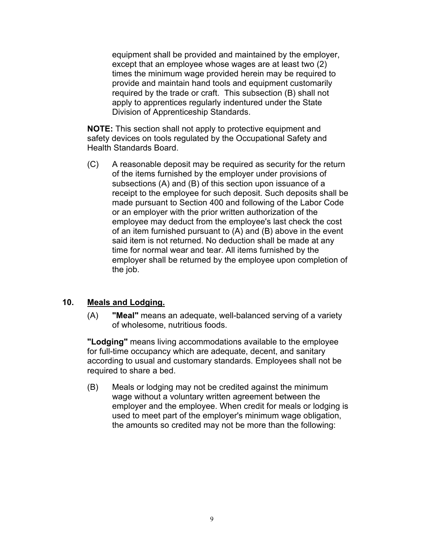equipment shall be provided and maintained by the employer, except that an employee whose wages are at least two (2) times the minimum wage provided herein may be required to provide and maintain hand tools and equipment customarily required by the trade or craft. This subsection (B) shall not apply to apprentices regularly indentured under the State Division of Apprenticeship Standards.

**NOTE:** This section shall not apply to protective equipment and safety devices on tools regulated by the Occupational Safety and Health Standards Board.

(C) A reasonable deposit may be required as security for the return of the items furnished by the employer under provisions of subsections (A) and (B) of this section upon issuance of a receipt to the employee for such deposit. Such deposits shall be made pursuant to Section 400 and following of the Labor Code or an employer with the prior written authorization of the employee may deduct from the employee's last check the cost of an item furnished pursuant to (A) and (B) above in the event said item is not returned. No deduction shall be made at any time for normal wear and tear. All items furnished by the employer shall be returned by the employee upon completion of the job.

#### **10. Meals and Lodging.**

(A) **"Meal"** means an adequate, well-balanced serving of a variety of wholesome, nutritious foods.

**"Lodging"** means living accommodations available to the employee for full-time occupancy which are adequate, decent, and sanitary according to usual and customary standards. Employees shall not be required to share a bed.

(B) Meals or lodging may not be credited against the minimum wage without a voluntary written agreement between the employer and the employee. When credit for meals or lodging is used to meet part of the employer's minimum wage obligation, the amounts so credited may not be more than the following: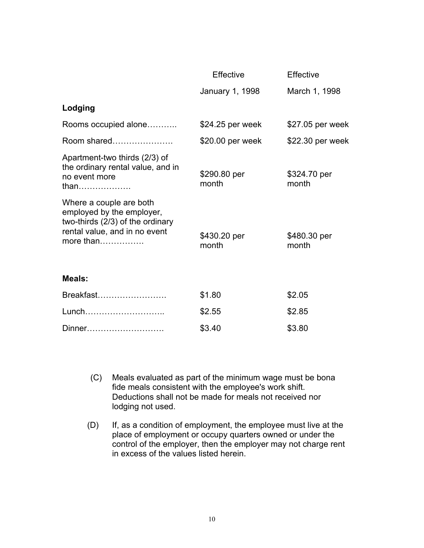|                                                                                                                                        | Effective             | Effective             |
|----------------------------------------------------------------------------------------------------------------------------------------|-----------------------|-----------------------|
|                                                                                                                                        | January 1, 1998       | March 1, 1998         |
| Lodging                                                                                                                                |                       |                       |
| Rooms occupied alone                                                                                                                   | \$24.25 per week      | \$27.05 per week      |
| Room shared                                                                                                                            | \$20.00 per week      | \$22.30 per week      |
| Apartment-two thirds (2/3) of<br>the ordinary rental value, and in<br>no event more<br>than                                            | \$290.80 per<br>month | \$324.70 per<br>month |
| Where a couple are both<br>employed by the employer,<br>two-thirds (2/3) of the ordinary<br>rental value, and in no event<br>more than | \$430.20 per<br>month | \$480.30 per<br>month |
| Meals:                                                                                                                                 |                       |                       |
| Breakfast                                                                                                                              | \$1.80                | \$2.05                |
| Lunch                                                                                                                                  | \$2.55                | \$2.85                |
| Dinner                                                                                                                                 | \$3.40                | \$3.80                |

- (C) Meals evaluated as part of the minimum wage must be bona fide meals consistent with the employee's work shift. Deductions shall not be made for meals not received nor lodging not used.
- (D) If, as a condition of employment, the employee must live at the place of employment or occupy quarters owned or under the control of the employer, then the employer may not charge rent in excess of the values listed herein.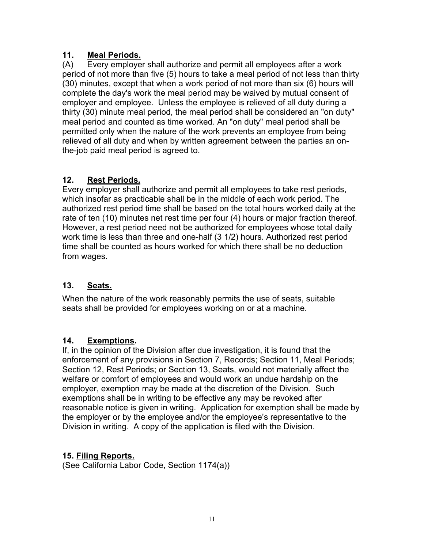### **11. Meal Periods.**

(A) Every employer shall authorize and permit all employees after a work period of not more than five (5) hours to take a meal period of not less than thirty (30) minutes, except that when a work period of not more than six (6) hours will complete the day's work the meal period may be waived by mutual consent of employer and employee. Unless the employee is relieved of all duty during a thirty (30) minute meal period, the meal period shall be considered an "on duty" meal period and counted as time worked. An "on duty" meal period shall be permitted only when the nature of the work prevents an employee from being relieved of all duty and when by written agreement between the parties an onthe-job paid meal period is agreed to.

# **12. Rest Periods.**

Every employer shall authorize and permit all employees to take rest periods, which insofar as practicable shall be in the middle of each work period. The authorized rest period time shall be based on the total hours worked daily at the rate of ten (10) minutes net rest time per four (4) hours or major fraction thereof. However, a rest period need not be authorized for employees whose total daily work time is less than three and one-half (3 1/2) hours. Authorized rest period time shall be counted as hours worked for which there shall be no deduction from wages.

# **13. Seats.**

When the nature of the work reasonably permits the use of seats, suitable seats shall be provided for employees working on or at a machine.

# **14. Exemptions.**

If, in the opinion of the Division after due investigation, it is found that the enforcement of any provisions in Section 7, Records; Section 11, Meal Periods; Section 12, Rest Periods; or Section 13, Seats, would not materially affect the welfare or comfort of employees and would work an undue hardship on the employer, exemption may be made at the discretion of the Division. Such exemptions shall be in writing to be effective any may be revoked after reasonable notice is given in writing. Application for exemption shall be made by the employer or by the employee and/or the employee's representative to the Division in writing. A copy of the application is filed with the Division.

# **15. Filing Reports.**

(See California Labor Code, Section 1174(a))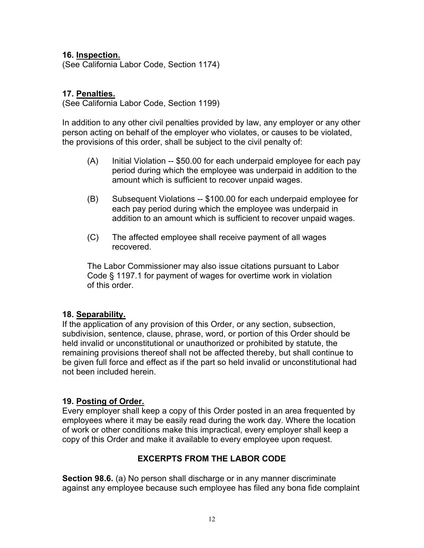### **16. Inspection.**

(See California Labor Code, Section 1174)

### **17. Penalties.**

(See California Labor Code, Section 1199)

In addition to any other civil penalties provided by law, any employer or any other person acting on behalf of the employer who violates, or causes to be violated, the provisions of this order, shall be subject to the civil penalty of:

- (A) Initial Violation -- \$50.00 for each underpaid employee for each pay period during which the employee was underpaid in addition to the amount which is sufficient to recover unpaid wages.
- (B) Subsequent Violations -- \$100.00 for each underpaid employee for each pay period during which the employee was underpaid in addition to an amount which is sufficient to recover unpaid wages.
- (C) The affected employee shall receive payment of all wages recovered.

The Labor Commissioner may also issue citations pursuant to Labor Code § 1197.1 for payment of wages for overtime work in violation of this order.

#### **18. Separability.**

If the application of any provision of this Order, or any section, subsection, subdivision, sentence, clause, phrase, word, or portion of this Order should be held invalid or unconstitutional or unauthorized or prohibited by statute, the remaining provisions thereof shall not be affected thereby, but shall continue to be given full force and effect as if the part so held invalid or unconstitutional had not been included herein.

#### **19. Posting of Order.**

Every employer shall keep a copy of this Order posted in an area frequented by employees where it may be easily read during the work day. Where the location of work or other conditions make this impractical, every employer shall keep a copy of this Order and make it available to every employee upon request.

### **EXCERPTS FROM THE LABOR CODE**

**Section 98.6.** (a) No person shall discharge or in any manner discriminate against any employee because such employee has filed any bona fide complaint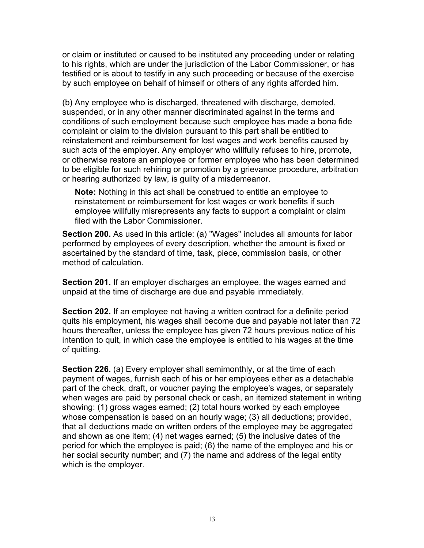or claim or instituted or caused to be instituted any proceeding under or relating to his rights, which are under the jurisdiction of the Labor Commissioner, or has testified or is about to testify in any such proceeding or because of the exercise by such employee on behalf of himself or others of any rights afforded him.

(b) Any employee who is discharged, threatened with discharge, demoted, suspended, or in any other manner discriminated against in the terms and conditions of such employment because such employee has made a bona fide complaint or claim to the division pursuant to this part shall be entitled to reinstatement and reimbursement for lost wages and work benefits caused by such acts of the employer. Any employer who willfully refuses to hire, promote, or otherwise restore an employee or former employee who has been determined to be eligible for such rehiring or promotion by a grievance procedure, arbitration or hearing authorized by law, is guilty of a misdemeanor.

**Note:** Nothing in this act shall be construed to entitle an employee to reinstatement or reimbursement for lost wages or work benefits if such employee willfully misrepresents any facts to support a complaint or claim filed with the Labor Commissioner.

**Section 200.** As used in this article: (a) "Wages" includes all amounts for labor performed by employees of every description, whether the amount is fixed or ascertained by the standard of time, task, piece, commission basis, or other method of calculation.

**Section 201.** If an employer discharges an employee, the wages earned and unpaid at the time of discharge are due and payable immediately.

**Section 202.** If an employee not having a written contract for a definite period quits his employment, his wages shall become due and payable not later than 72 hours thereafter, unless the employee has given 72 hours previous notice of his intention to quit, in which case the employee is entitled to his wages at the time of quitting.

**Section 226.** (a) Every employer shall semimonthly, or at the time of each payment of wages, furnish each of his or her employees either as a detachable part of the check, draft, or voucher paying the employee's wages, or separately when wages are paid by personal check or cash, an itemized statement in writing showing: (1) gross wages earned; (2) total hours worked by each employee whose compensation is based on an hourly wage; (3) all deductions; provided, that all deductions made on written orders of the employee may be aggregated and shown as one item; (4) net wages earned; (5) the inclusive dates of the period for which the employee is paid; (6) the name of the employee and his or her social security number; and (7) the name and address of the legal entity which is the employer.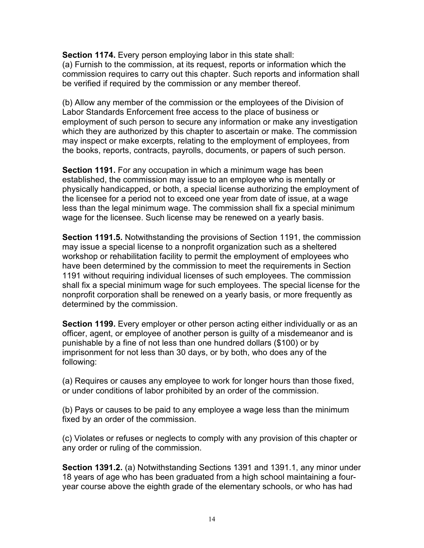**Section 1174.** Every person employing labor in this state shall: (a) Furnish to the commission, at its request, reports or information which the commission requires to carry out this chapter. Such reports and information shall be verified if required by the commission or any member thereof.

(b) Allow any member of the commission or the employees of the Division of Labor Standards Enforcement free access to the place of business or employment of such person to secure any information or make any investigation which they are authorized by this chapter to ascertain or make. The commission may inspect or make excerpts, relating to the employment of employees, from the books, reports, contracts, payrolls, documents, or papers of such person.

**Section 1191.** For any occupation in which a minimum wage has been established, the commission may issue to an employee who is mentally or physically handicapped, or both, a special license authorizing the employment of the licensee for a period not to exceed one year from date of issue, at a wage less than the legal minimum wage. The commission shall fix a special minimum wage for the licensee. Such license may be renewed on a yearly basis.

**Section 1191.5.** Notwithstanding the provisions of Section 1191, the commission may issue a special license to a nonprofit organization such as a sheltered workshop or rehabilitation facility to permit the employment of employees who have been determined by the commission to meet the requirements in Section 1191 without requiring individual licenses of such employees. The commission shall fix a special minimum wage for such employees. The special license for the nonprofit corporation shall be renewed on a yearly basis, or more frequently as determined by the commission.

**Section 1199.** Every employer or other person acting either individually or as an officer, agent, or employee of another person is guilty of a misdemeanor and is punishable by a fine of not less than one hundred dollars (\$100) or by imprisonment for not less than 30 days, or by both, who does any of the following:

(a) Requires or causes any employee to work for longer hours than those fixed, or under conditions of labor prohibited by an order of the commission.

(b) Pays or causes to be paid to any employee a wage less than the minimum fixed by an order of the commission.

(c) Violates or refuses or neglects to comply with any provision of this chapter or any order or ruling of the commission.

**Section 1391.2.** (a) Notwithstanding Sections 1391 and 1391.1, any minor under 18 years of age who has been graduated from a high school maintaining a fouryear course above the eighth grade of the elementary schools, or who has had